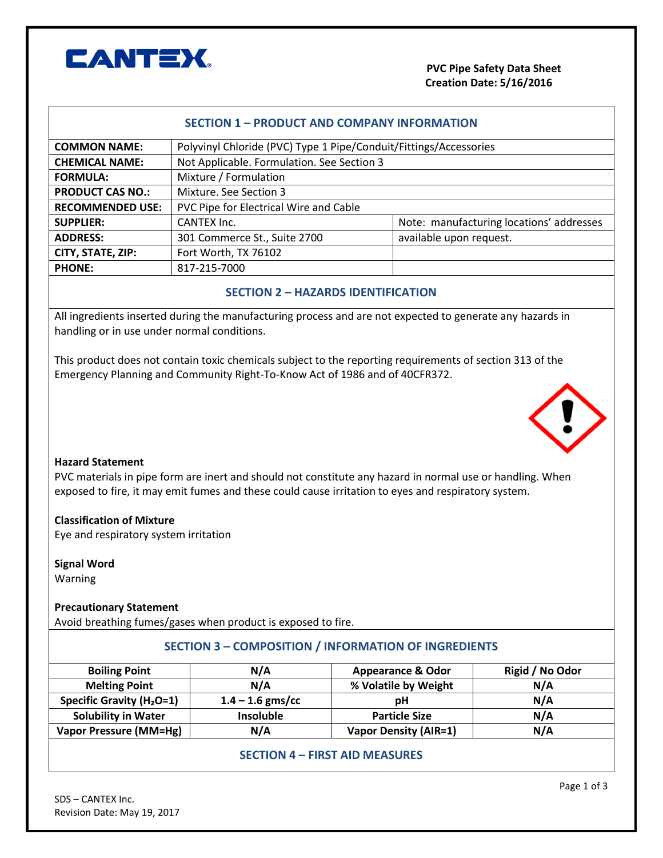

| <b>SECTION 1 - PRODUCT AND COMPANY INFORMATION</b>          |                                                                                                           |                                           |                                          |  |  |
|-------------------------------------------------------------|-----------------------------------------------------------------------------------------------------------|-------------------------------------------|------------------------------------------|--|--|
| <b>COMMON NAME:</b>                                         | Polyvinyl Chloride (PVC) Type 1 Pipe/Conduit/Fittings/Accessories                                         |                                           |                                          |  |  |
| <b>CHEMICAL NAME:</b>                                       | Not Applicable. Formulation. See Section 3                                                                |                                           |                                          |  |  |
| <b>FORMULA:</b>                                             | Mixture / Formulation                                                                                     |                                           |                                          |  |  |
| <b>PRODUCT CAS NO.:</b>                                     | Mixture. See Section 3                                                                                    |                                           |                                          |  |  |
| <b>RECOMMENDED USE:</b>                                     | PVC Pipe for Electrical Wire and Cable                                                                    |                                           |                                          |  |  |
| <b>SUPPLIER:</b>                                            | <b>CANTEX Inc.</b>                                                                                        |                                           | Note: manufacturing locations' addresses |  |  |
| <b>ADDRESS:</b>                                             | 301 Commerce St., Suite 2700                                                                              | available upon request.                   |                                          |  |  |
| CITY, STATE, ZIP:                                           | Fort Worth, TX 76102                                                                                      |                                           |                                          |  |  |
| <b>PHONE:</b>                                               | 817-215-7000                                                                                              |                                           |                                          |  |  |
|                                                             |                                                                                                           |                                           |                                          |  |  |
|                                                             |                                                                                                           | <b>SECTION 2 - HAZARDS IDENTIFICATION</b> |                                          |  |  |
|                                                             | All ingredients inserted during the manufacturing process and are not expected to generate any hazards in |                                           |                                          |  |  |
| handling or in use under normal conditions.                 |                                                                                                           |                                           |                                          |  |  |
|                                                             |                                                                                                           |                                           |                                          |  |  |
|                                                             | This product does not contain toxic chemicals subject to the reporting requirements of section 313 of the |                                           |                                          |  |  |
|                                                             | Emergency Planning and Community Right-To-Know Act of 1986 and of 40CFR372.                               |                                           |                                          |  |  |
|                                                             |                                                                                                           |                                           |                                          |  |  |
|                                                             |                                                                                                           |                                           |                                          |  |  |
|                                                             |                                                                                                           |                                           |                                          |  |  |
|                                                             |                                                                                                           |                                           |                                          |  |  |
|                                                             |                                                                                                           |                                           |                                          |  |  |
| <b>Hazard Statement</b>                                     |                                                                                                           |                                           |                                          |  |  |
|                                                             | PVC materials in pipe form are inert and should not constitute any hazard in normal use or handling. When |                                           |                                          |  |  |
|                                                             | exposed to fire, it may emit fumes and these could cause irritation to eyes and respiratory system.       |                                           |                                          |  |  |
|                                                             |                                                                                                           |                                           |                                          |  |  |
| <b>Classification of Mixture</b>                            |                                                                                                           |                                           |                                          |  |  |
| Eye and respiratory system irritation                       |                                                                                                           |                                           |                                          |  |  |
|                                                             |                                                                                                           |                                           |                                          |  |  |
| <b>Signal Word</b>                                          |                                                                                                           |                                           |                                          |  |  |
| Warning                                                     |                                                                                                           |                                           |                                          |  |  |
|                                                             |                                                                                                           |                                           |                                          |  |  |
| <b>Precautionary Statement</b>                              |                                                                                                           |                                           |                                          |  |  |
|                                                             | Avoid breathing fumes/gases when product is exposed to fire.                                              |                                           |                                          |  |  |
| <b>SECTION 3 - COMPOSITION / INFORMATION OF INGREDIENTS</b> |                                                                                                           |                                           |                                          |  |  |
| <b>Boiling Point</b>                                        | N/A                                                                                                       | <b>Appearance &amp; Odor</b>              | Rigid / No Odor                          |  |  |
| <b>Melting Point</b>                                        | N/A                                                                                                       | % Volatile by Weight                      | N/A                                      |  |  |
| <b>Specific Gravity (H<sub>2</sub>O=1)</b>                  | $1.4 - 1.6$ gms/cc                                                                                        | pH                                        | N/A                                      |  |  |
| <b>Solubility in Water</b>                                  | Insoluble                                                                                                 | <b>Particle Size</b>                      | N/A                                      |  |  |
| <b>Vapor Pressure (MM=Hg)</b>                               | N/A                                                                                                       | <b>Vapor Density (AIR=1)</b>              | N/A                                      |  |  |
|                                                             | CECTION A FIDET AID MEACHDEC                                                                              |                                           |                                          |  |  |

## **SECTION 4 – FIRST AID MEASURES**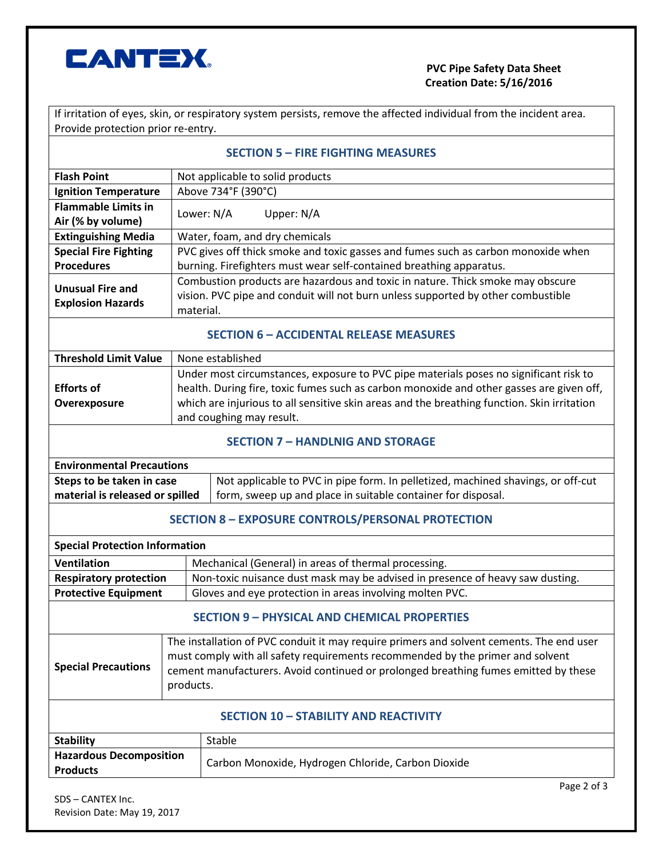

## **PVC Pipe Safety Data Sheet Creation Date: 5/16/2016**

If irritation of eyes, skin, or respiratory system persists, remove the affected individual from the incident area. Provide protection prior re-entry.

| <b>SECTION 5 – FIRE FIGHTING MEASURES</b> |  |
|-------------------------------------------|--|
|-------------------------------------------|--|

| <b>Flash Point</b>                                                                                             | Not applicable to solid products                                                                                                                 |  |  |  |
|----------------------------------------------------------------------------------------------------------------|--------------------------------------------------------------------------------------------------------------------------------------------------|--|--|--|
| <b>Ignition Temperature</b>                                                                                    | Above 734°F (390°C)                                                                                                                              |  |  |  |
| <b>Flammable Limits in</b>                                                                                     | Lower: N/A<br>Upper: N/A                                                                                                                         |  |  |  |
| Air (% by volume)                                                                                              |                                                                                                                                                  |  |  |  |
| <b>Extinguishing Media</b>                                                                                     | Water, foam, and dry chemicals                                                                                                                   |  |  |  |
| <b>Special Fire Fighting</b>                                                                                   | PVC gives off thick smoke and toxic gasses and fumes such as carbon monoxide when                                                                |  |  |  |
| <b>Procedures</b>                                                                                              | burning. Firefighters must wear self-contained breathing apparatus.                                                                              |  |  |  |
| <b>Unusual Fire and</b>                                                                                        | Combustion products are hazardous and toxic in nature. Thick smoke may obscure                                                                   |  |  |  |
| <b>Explosion Hazards</b>                                                                                       | vision. PVC pipe and conduit will not burn unless supported by other combustible                                                                 |  |  |  |
|                                                                                                                | material.                                                                                                                                        |  |  |  |
| <b>SECTION 6 - ACCIDENTAL RELEASE MEASURES</b>                                                                 |                                                                                                                                                  |  |  |  |
| <b>Threshold Limit Value</b>                                                                                   | None established                                                                                                                                 |  |  |  |
|                                                                                                                | Under most circumstances, exposure to PVC pipe materials poses no significant risk to                                                            |  |  |  |
| <b>Efforts of</b>                                                                                              | health. During fire, toxic fumes such as carbon monoxide and other gasses are given off,                                                         |  |  |  |
| Overexposure                                                                                                   | which are injurious to all sensitive skin areas and the breathing function. Skin irritation                                                      |  |  |  |
|                                                                                                                | and coughing may result.                                                                                                                         |  |  |  |
| <b>SECTION 7 - HANDLNIG AND STORAGE</b>                                                                        |                                                                                                                                                  |  |  |  |
| <b>Environmental Precautions</b>                                                                               |                                                                                                                                                  |  |  |  |
| Steps to be taken in case<br>material is released or spilled                                                   | Not applicable to PVC in pipe form. In pelletized, machined shavings, or off-cut<br>form, sweep up and place in suitable container for disposal. |  |  |  |
| <b>SECTION 8 - EXPOSURE CONTROLS/PERSONAL PROTECTION</b>                                                       |                                                                                                                                                  |  |  |  |
| <b>Special Protection Information</b>                                                                          |                                                                                                                                                  |  |  |  |
| <b>Ventilation</b>                                                                                             | Mechanical (General) in areas of thermal processing.                                                                                             |  |  |  |
| Non-toxic nuisance dust mask may be advised in presence of heavy saw dusting.<br><b>Respiratory protection</b> |                                                                                                                                                  |  |  |  |
| <b>Protective Equipment</b><br>Gloves and eye protection in areas involving molten PVC.                        |                                                                                                                                                  |  |  |  |
| <b>SECTION 9 - PHYSICAL AND CHEMICAL PROPERTIES</b>                                                            |                                                                                                                                                  |  |  |  |
|                                                                                                                | The installation of PVC conduit it may require primers and solvent cements. The end user                                                         |  |  |  |
|                                                                                                                | must comply with all safety requirements recommended by the primer and solvent                                                                   |  |  |  |
| <b>Special Precautions</b>                                                                                     | coment manufacturers, Avoid continued or prolonged breathing fumes emitted by these                                                              |  |  |  |

|                  | <b>SECTION 10 - STABILITY AND REACTIVITY</b>                                                     |
|------------------|--------------------------------------------------------------------------------------------------|
| ial Precautions: | cement manufacturers. Avoid continued or prolonged breathing fumes emitted by these<br>products. |
|                  | <b>THE COMPT IN THE COLUMN THE COMPONER COOPERATION IS AN ART AND A LIGHT COOPERATION</b>        |

| <b>Stability</b>               | Stable                                             |  |
|--------------------------------|----------------------------------------------------|--|
| <b>Hazardous Decomposition</b> | Carbon Monoxide, Hydrogen Chloride, Carbon Dioxide |  |
| <b>Products</b>                |                                                    |  |
|                                |                                                    |  |